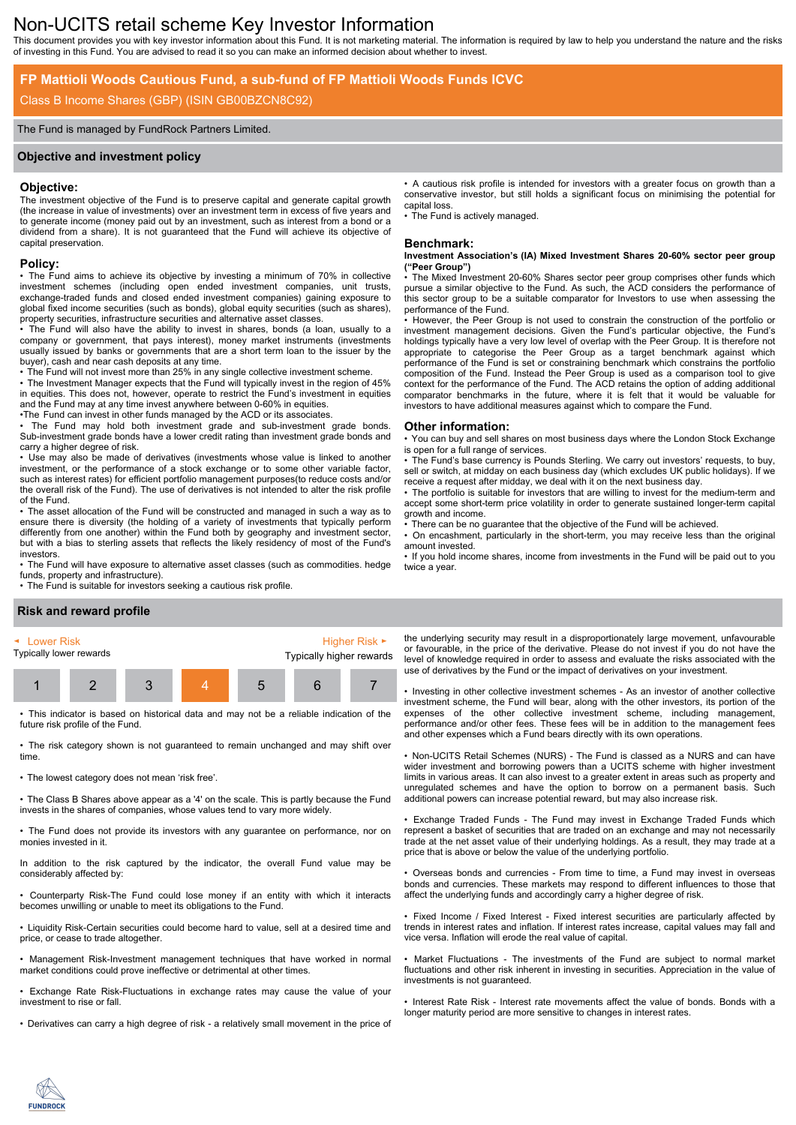# Non-UCITS retail scheme Key Investor Information

This document provides you with key investor information about this Fund. It is not marketing material. The information is required by law to help you understand the nature and the risks of investing in this Fund. You are advised to read it so you can make an informed decision about whether to invest.

# **FP Mattioli Woods Cautious Fund, a sub-fund of FP Mattioli Woods Funds ICVC**

# Class B Income Shares (GBP) (ISIN GB00BZCN8C92)

#### The Fund is managed by FundRock Partners Limited.

#### **Objective and investment policy**

#### **Objective:**

The investment objective of the Fund is to preserve capital and generate capital growth (the increase in value of investments) over an investment term in excess of five years and to generate income (money paid out by an investment, such as interest from a bond or a dividend from a share). It is not guaranteed that the Fund will achieve its objective of capital preservation.

#### **Policy:**

• The Fund aims to achieve its objective by investing a minimum of 70% in collective investment schemes (including open ended investment companies, unit trusts, exchange-traded funds and closed ended investment companies) gaining exposure to global fixed income securities (such as bonds), global equity securities (such as shares), property securities, infrastructure securities and alternative asset classes.

• The Fund will also have the ability to invest in shares, bonds (a loan, usually to a company or government, that pays interest), money market instruments (investments usually issued by banks or governments that are a short term loan to the issuer by the buyer), cash and near cash deposits at any time.

• The Fund will not invest more than 25% in any single collective investment scheme. • The Investment Manager expects that the Fund will typically invest in the region of 45% in equities. This does not, however, operate to restrict the Fund's investment in equities and the Fund may at any time invest anywhere between 0-60% in equities.

•The Fund can invest in other funds managed by the ACD or its associates.

• The Fund may hold both investment grade and sub-investment grade bonds. Sub-investment grade bonds have a lower credit rating than investment grade bonds and carry a higher degree of risk.

• Use may also be made of derivatives (investments whose value is linked to another investment, or the performance of a stock exchange or to some other variable factor, such as interest rates) for efficient portfolio management purposes(to reduce costs and/or the overall risk of the Fund). The use of derivatives is not intended to alter the risk profile of the Fund.

• The asset allocation of the Fund will be constructed and managed in such a way as to ensure there is diversity (the holding of a variety of investments that typically perform differently from one another) within the Fund both by geography and investment sector, but with a bias to sterling assets that reflects the likely residency of most of the Fund's investors.

• The Fund will have exposure to alternative asset classes (such as commodities. hedge funds, property and infrastructure).

• The Fund is suitable for investors seeking a cautious risk profile.

#### • A cautious risk profile is intended for investors with a greater focus on growth than a conservative investor, but still holds a significant focus on minimising the potential for capital loss.

The Fund is actively managed.

#### **Benchmark:**

**Investment Association's (IA) Mixed Investment Shares 20-60% sector peer group ("Peer Group")**

The Mixed Investment 20-60% Shares sector peer group comprises other funds which pursue a similar objective to the Fund. As such, the ACD considers the performance of this sector group to be a suitable comparator for Investors to use when assessing the performance of the Fund.

• However, the Peer Group is not used to constrain the construction of the portfolio or investment management decisions. Given the Fund's particular objective, the Fund's holdings typically have a very low level of overlap with the Peer Group. It is therefore not appropriate to categorise the Peer Group as a target benchmark against which performance of the Fund is set or constraining benchmark which constrains the portfolio composition of the Fund. Instead the Peer Group is used as a comparison tool to give context for the performance of the Fund. The ACD retains the option of adding additional comparator benchmarks in the future, where it is felt that it would be valuable for investors to have additional measures against which to compare the Fund.

#### **Other information:**

• You can buy and sell shares on most business days where the London Stock Exchange is open for a full range of services.

• The Fund's base currency is Pounds Sterling. We carry out investors' requests, to buy, sell or switch, at midday on each business day (which excludes UK public holidays). If we receive a request after midday, we deal with it on the next business day.

• The portfolio is suitable for investors that are willing to invest for the medium-term and accept some short-term price volatility in order to generate sustained longer-term capital growth and income.

There can be no guarantee that the objective of the Fund will be achieved.

• On encashment, particularly in the short-term, you may receive less than the original amount invested.

• If you hold income shares, income from investments in the Fund will be paid out to you twice a year.

# **Risk and reward profile**



• This indicator is based on historical data and may not be a reliable indication of the future risk profile of the Fund.

• The risk category shown is not guaranteed to remain unchanged and may shift over time.

• The lowest category does not mean 'risk free'.

• The Class B Shares above appear as a '4' on the scale. This is partly because the Fund invests in the shares of companies, whose values tend to vary more widely.

• The Fund does not provide its investors with any guarantee on performance, nor on monies invested in it.

In addition to the risk captured by the indicator, the overall Fund value may be considerably affected by:

• Counterparty Risk-The Fund could lose money if an entity with which it interacts becomes unwilling or unable to meet its obligations to the Fund.

• Liquidity Risk-Certain securities could become hard to value, sell at a desired time and price, or cease to trade altogether.

• Management Risk-Investment management techniques that have worked in normal market conditions could prove ineffective or detrimental at other times.

• Exchange Rate Risk-Fluctuations in exchange rates may cause the value of your investment to rise or fall.

• Derivatives can carry a high degree of risk - a relatively small movement in the price of

the underlying security may result in a disproportionately large movement, unfavourable or favourable, in the price of the derivative. Please do not invest if you do not have the level of knowledge required in order to assess and evaluate the risks associated with the use of derivatives by the Fund or the impact of derivatives on your investment.

• Investing in other collective investment schemes - As an investor of another collective investment scheme, the Fund will bear, along with the other investors, its portion of the expenses of the other collective investment scheme, including management, performance and/or other fees. These fees will be in addition to the management fees and other expenses which a Fund bears directly with its own operations.

• Non-UCITS Retail Schemes (NURS) - The Fund is classed as a NURS and can have wider investment and borrowing powers than a UCITS scheme with higher investment limits in various areas. It can also invest to a greater extent in areas such as property and unregulated schemes and have the option to borrow on a permanent basis. Such additional powers can increase potential reward, but may also increase risk.

• Exchange Traded Funds - The Fund may invest in Exchange Traded Funds which represent a basket of securities that are traded on an exchange and may not necessarily trade at the net asset value of their underlying holdings. As a result, they may trade at a price that is above or below the value of the underlying portfolio.

• Overseas bonds and currencies - From time to time, a Fund may invest in overseas bonds and currencies. These markets may respond to different influences to those that affect the underlying funds and accordingly carry a higher degree of risk.

• Fixed Income / Fixed Interest - Fixed interest securities are particularly affected by trends in interest rates and inflation. If interest rates increase, capital values may fall and vice versa. Inflation will erode the real value of capital.

Market Fluctuations - The investments of the Fund are subject to normal market fluctuations and other risk inherent in investing in securities. Appreciation in the value of investments is not guaranteed.

• Interest Rate Risk - Interest rate movements affect the value of bonds. Bonds with a longer maturity period are more sensitive to changes in interest rates.